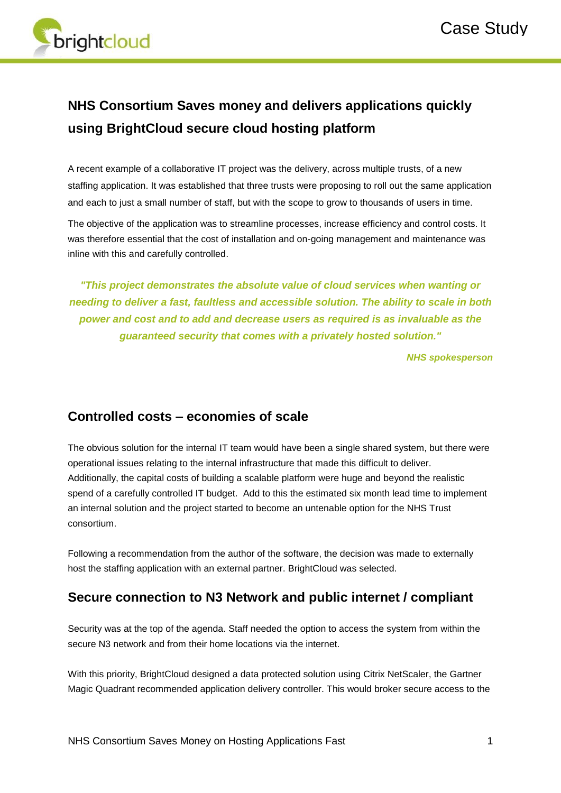

# **NHS Consortium Saves money and delivers applications quickly using BrightCloud secure cloud hosting platform**

A recent example of a collaborative IT project was the delivery, across multiple trusts, of a new staffing application. It was established that three trusts were proposing to roll out the same application and each to just a small number of staff, but with the scope to grow to thousands of users in time.

The objective of the application was to streamline processes, increase efficiency and control costs. It was therefore essential that the cost of installation and on-going management and maintenance was inline with this and carefully controlled.

*"This project demonstrates the absolute value of cloud services when wanting or needing to deliver a fast, faultless and accessible solution. The ability to scale in both power and cost and to add and decrease users as required is as invaluable as the guaranteed security that comes with a privately hosted solution."*

*NHS spokesperson*

#### **Controlled costs – economies of scale**

The obvious solution for the internal IT team would have been a single shared system, but there were operational issues relating to the internal infrastructure that made this difficult to deliver. Additionally, the capital costs of building a scalable platform were huge and beyond the realistic spend of a carefully controlled IT budget. Add to this the estimated six month lead time to implement an internal solution and the project started to become an untenable option for the NHS Trust consortium.

Following a recommendation from the author of the software, the decision was made to externally host the staffing application with an external partner. BrightCloud was selected.

#### **Secure connection to N3 Network and public internet / compliant**

Security was at the top of the agenda. Staff needed the option to access the system from within the secure N3 network and from their home locations via the internet.

With this priority, BrightCloud designed a data protected solution using Citrix NetScaler, the Gartner Magic Quadrant recommended application delivery controller. This would broker secure access to the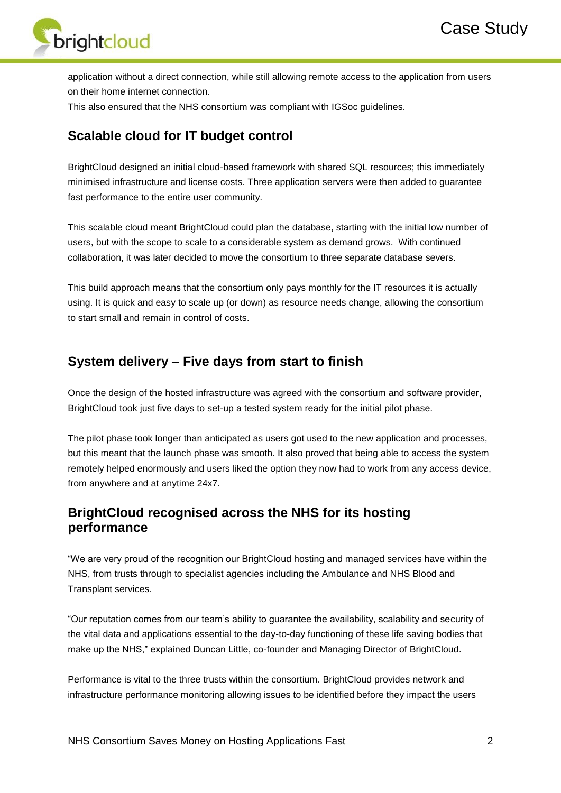

application without a direct connection, while still allowing remote access to the application from users on their home internet connection.

This also ensured that the NHS consortium was compliant with IGSoc guidelines.

#### **Scalable cloud for IT budget control**

BrightCloud designed an initial cloud-based framework with shared SQL resources; this immediately minimised infrastructure and license costs. Three application servers were then added to guarantee fast performance to the entire user community.

This scalable cloud meant BrightCloud could plan the database, starting with the initial low number of users, but with the scope to scale to a considerable system as demand grows. With continued collaboration, it was later decided to move the consortium to three separate database severs.

This build approach means that the consortium only pays monthly for the IT resources it is actually using. It is quick and easy to scale up (or down) as resource needs change, allowing the consortium to start small and remain in control of costs.

## **System delivery – Five days from start to finish**

Once the design of the hosted infrastructure was agreed with the consortium and software provider, BrightCloud took just five days to set-up a tested system ready for the initial pilot phase.

The pilot phase took longer than anticipated as users got used to the new application and processes, but this meant that the launch phase was smooth. It also proved that being able to access the system remotely helped enormously and users liked the option they now had to work from any access device, from anywhere and at anytime 24x7.

## **BrightCloud recognised across the NHS for its hosting performance**

"We are very proud of the recognition our BrightCloud hosting and managed services have within the NHS, from trusts through to specialist agencies including the Ambulance and NHS Blood and Transplant services.

"Our reputation comes from our team's ability to guarantee the availability, scalability and security of the vital data and applications essential to the day-to-day functioning of these life saving bodies that make up the NHS," explained Duncan Little, co-founder and Managing Director of BrightCloud.

Performance is vital to the three trusts within the consortium. BrightCloud provides network and infrastructure performance monitoring allowing issues to be identified before they impact the users